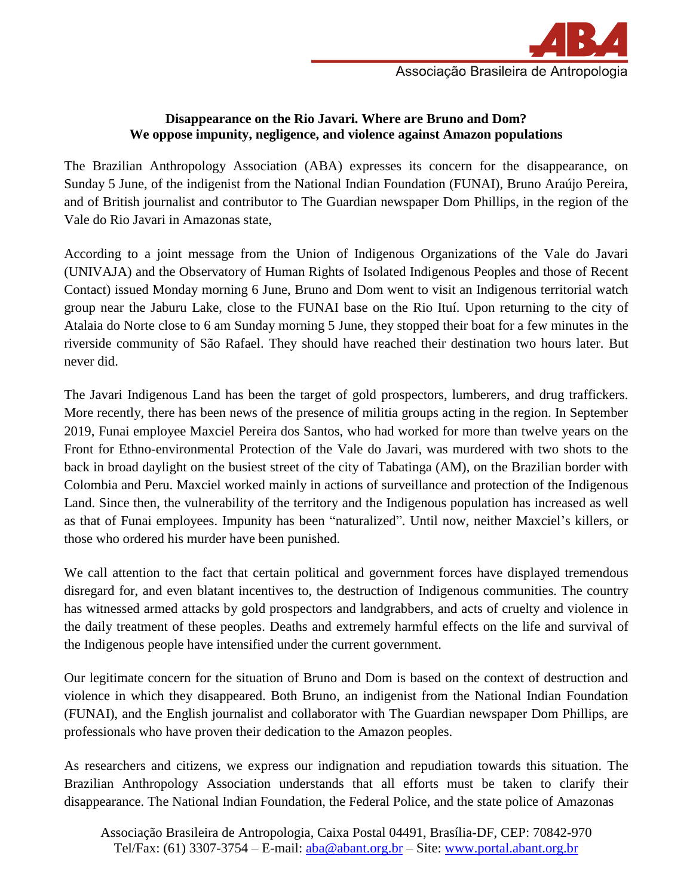

## **Disappearance on the Rio Javari. Where are Bruno and Dom? We oppose impunity, negligence, and violence against Amazon populations**

The Brazilian Anthropology Association (ABA) expresses its concern for the disappearance, on Sunday 5 June, of the indigenist from the National Indian Foundation (FUNAI), Bruno Araújo Pereira, and of British journalist and contributor to The Guardian newspaper Dom Phillips, in the region of the Vale do Rio Javari in Amazonas state,

According to a joint message from the Union of Indigenous Organizations of the Vale do Javari (UNIVAJA) and the Observatory of Human Rights of Isolated Indigenous Peoples and those of Recent Contact) issued Monday morning 6 June, Bruno and Dom went to visit an Indigenous territorial watch group near the Jaburu Lake, close to the FUNAI base on the Rio Ituí. Upon returning to the city of Atalaia do Norte close to 6 am Sunday morning 5 June, they stopped their boat for a few minutes in the riverside community of São Rafael. They should have reached their destination two hours later. But never did.

The Javari Indigenous Land has been the target of gold prospectors, lumberers, and drug traffickers. More recently, there has been news of the presence of militia groups acting in the region. In September 2019, Funai employee Maxciel Pereira dos Santos, who had worked for more than twelve years on the Front for Ethno-environmental Protection of the Vale do Javari, was murdered with two shots to the back in broad daylight on the busiest street of the city of Tabatinga (AM), on the Brazilian border with Colombia and Peru. Maxciel worked mainly in actions of surveillance and protection of the Indigenous Land. Since then, the vulnerability of the territory and the Indigenous population has increased as well as that of Funai employees. Impunity has been "naturalized". Until now, neither Maxciel's killers, or those who ordered his murder have been punished.

We call attention to the fact that certain political and government forces have displayed tremendous disregard for, and even blatant incentives to, the destruction of Indigenous communities. The country has witnessed armed attacks by gold prospectors and landgrabbers, and acts of cruelty and violence in the daily treatment of these peoples. Deaths and extremely harmful effects on the life and survival of the Indigenous people have intensified under the current government.

Our legitimate concern for the situation of Bruno and Dom is based on the context of destruction and violence in which they disappeared. Both Bruno, an indigenist from the National Indian Foundation (FUNAI), and the English journalist and collaborator with The Guardian newspaper Dom Phillips, are professionals who have proven their dedication to the Amazon peoples.

As researchers and citizens, we express our indignation and repudiation towards this situation. The Brazilian Anthropology Association understands that all efforts must be taken to clarify their disappearance. The National Indian Foundation, the Federal Police, and the state police of Amazonas